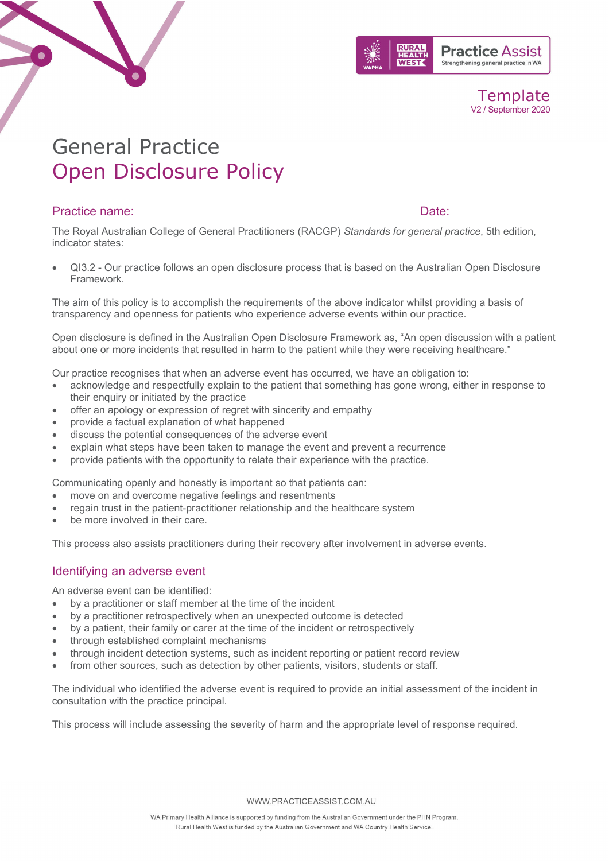

**Template** V2 / September 2020

# General Practice Open Disclosure Policy

## Practice name: Date:

The Royal Australian College of General Practitioners (RACGP) *Standards for general practice*, 5th edition, indicator states:

• QI3.2 - Our practice follows an open disclosure process that is based on the Australian Open Disclosure Framework.

The aim of this policy is to accomplish the requirements of the above indicator whilst providing a basis of transparency and openness for patients who experience adverse events within our practice.

Open disclosure is defined in the Australian Open Disclosure Framework as, "An open discussion with a patient about one or more incidents that resulted in harm to the patient while they were receiving healthcare."

Our practice recognises that when an adverse event has occurred, we have an obligation to:

- acknowledge and respectfully explain to the patient that something has gone wrong, either in response to their enquiry or initiated by the practice
- offer an apology or expression of regret with sincerity and empathy
- provide a factual explanation of what happened
- discuss the potential consequences of the adverse event
- explain what steps have been taken to manage the event and prevent a recurrence
- provide patients with the opportunity to relate their experience with the practice.

Communicating openly and honestly is important so that patients can:

- move on and overcome negative feelings and resentments
- regain trust in the patient-practitioner relationship and the healthcare system
- be more involved in their care.

This process also assists practitioners during their recovery after involvement in adverse events.

### Identifying an adverse event

An adverse event can be identified:

- by a practitioner or staff member at the time of the incident
- by a practitioner retrospectively when an unexpected outcome is detected
- by a patient, their family or carer at the time of the incident or retrospectively
- through established complaint mechanisms
- through incident detection systems, such as incident reporting or patient record review
- from other sources, such as detection by other patients, visitors, students or staff.

The individual who identified the adverse event is required to provide an initial assessment of the incident in consultation with the practice principal.

This process will include assessing the severity of harm and the appropriate level of response required.

WWW.PRACTICEASSIST.COM.AU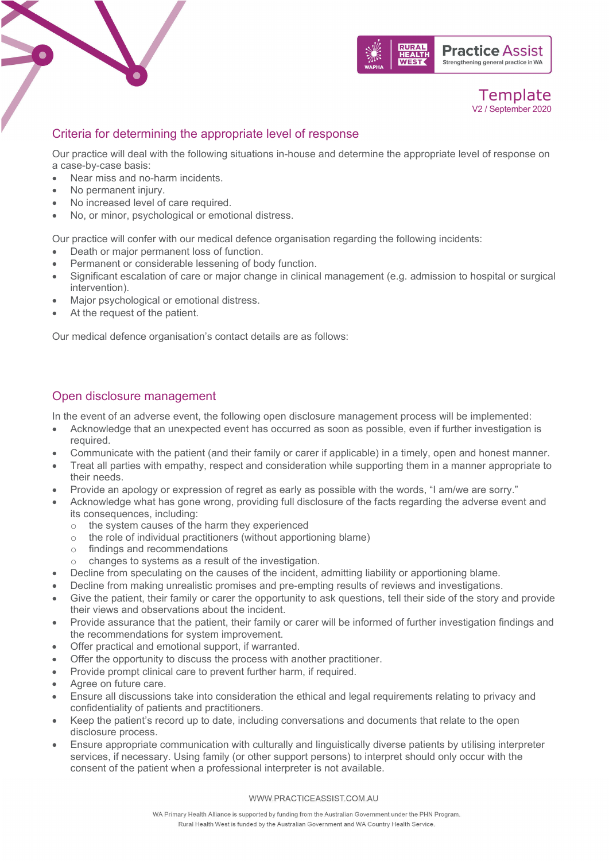



# Criteria for determining the appropriate level of response

Our practice will deal with the following situations in-house and determine the appropriate level of response on a case-by-case basis:

- Near miss and no-harm incidents.
- No permanent injury.
- No increased level of care required.
- No, or minor, psychological or emotional distress.

Our practice will confer with our medical defence organisation regarding the following incidents:

- Death or major permanent loss of function.
- Permanent or considerable lessening of body function.
- Significant escalation of care or major change in clinical management (e.g. admission to hospital or surgical intervention).
- Major psychological or emotional distress.
- At the request of the patient.

Our medical defence organisation's contact details are as follows:

# Open disclosure management

In the event of an adverse event, the following open disclosure management process will be implemented:

- Acknowledge that an unexpected event has occurred as soon as possible, even if further investigation is required.
- Communicate with the patient (and their family or carer if applicable) in a timely, open and honest manner.
- Treat all parties with empathy, respect and consideration while supporting them in a manner appropriate to their needs.
- Provide an apology or expression of regret as early as possible with the words, "I am/we are sorry."
- Acknowledge what has gone wrong, providing full disclosure of the facts regarding the adverse event and its consequences, including:
	- $\circ$  the system causes of the harm they experienced  $\circ$  the role of individual practitioners (without apportion
	- the role of individual practitioners (without apportioning blame)
	- o findings and recommendations
	- o changes to systems as a result of the investigation.
- Decline from speculating on the causes of the incident, admitting liability or apportioning blame.
- Decline from making unrealistic promises and pre-empting results of reviews and investigations.
- Give the patient, their family or carer the opportunity to ask questions, tell their side of the story and provide their views and observations about the incident.
- Provide assurance that the patient, their family or carer will be informed of further investigation findings and the recommendations for system improvement.
- Offer practical and emotional support, if warranted.
- Offer the opportunity to discuss the process with another practitioner.
- Provide prompt clinical care to prevent further harm, if required.
- Agree on future care.
- Ensure all discussions take into consideration the ethical and legal requirements relating to privacy and confidentiality of patients and practitioners.
- Keep the patient's record up to date, including conversations and documents that relate to the open disclosure process.
- Ensure appropriate communication with culturally and linguistically diverse patients by utilising interpreter services, if necessary. Using family (or other support persons) to interpret should only occur with the consent of the patient when a professional interpreter is not available.

#### WWW.PRACTICEASSIST.COM.AU